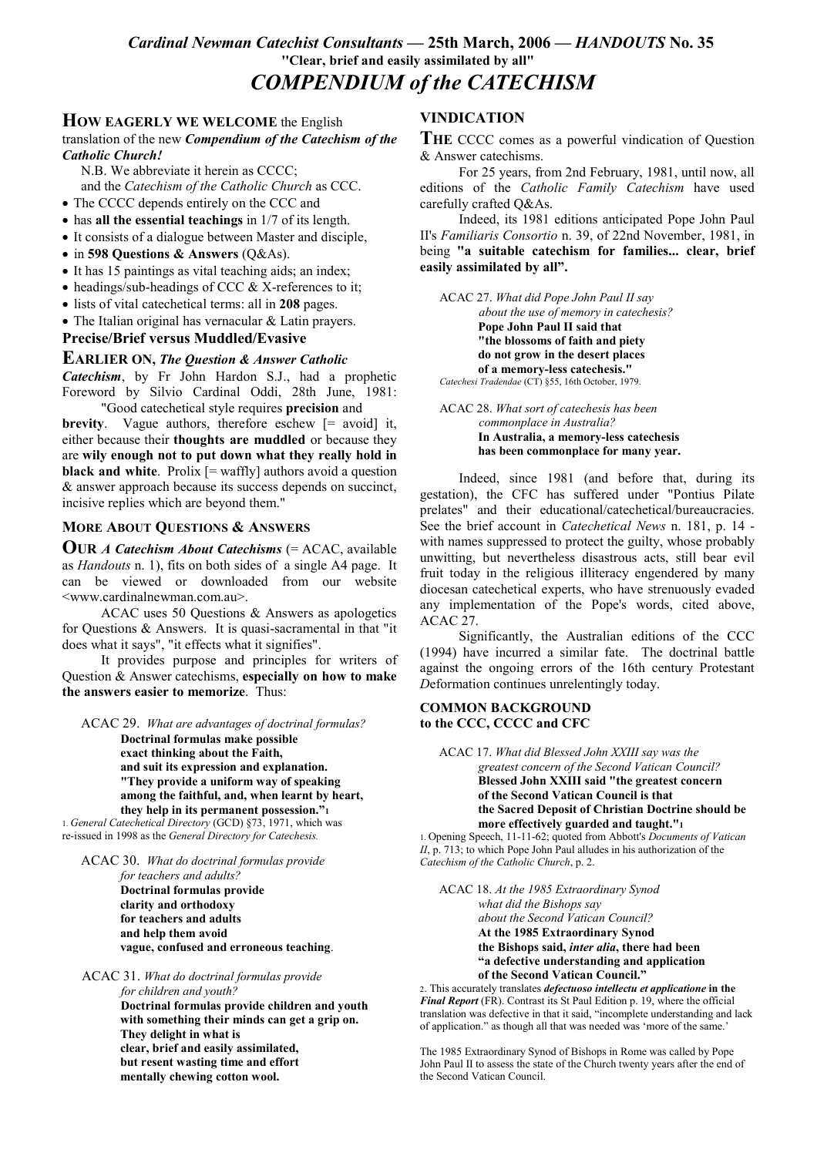# Cardinal Newman Catechist Consultants - 25th March, 2006 - HANDOUTS No. 35 "Clear, brief and easily assimilated by all" **COMPENDIUM of the CATECHISM**

## **HOW EAGERLY WE WELCOME** the English

translation of the new Compendium of the Catechism of the **Catholic Church!** 

N.B. We abbreviate it herein as CCCC; and the Catechism of the Catholic Church as CCC.

- The CCCC depends entirely on the CCC and
- $\bullet$  has all the essential teachings in 1/7 of its length.
- It consists of a dialogue between Master and disciple,
- in 598 Questions & Answers  $(O&As)$ .
- $\bullet$  It has 15 paintings as vital teaching aids; an index:
- $\bullet$  headings/sub-headings of CCC & X-references to it;
- lists of vital cate chetical terms: all in 208 pages.
- The Italian original has vernacular  $&$  Latin prayers.

**Precise/Brief versus Muddled/Evasive** 

### **EARLIER ON, The Question & Answer Catholic**

Catechism, by Fr John Hardon S.J., had a prophetic Foreword by Silvio Cardinal Oddi, 28th June, 1981: "Good cate chetical style requires **precision** and

**brevity**. Vague authors, therefore eschew  $[=$  avoid it, either because their thoughts are muddled or because they are wily enough not to put down what they really hold in black and white. Prolix  $[=$  waffly] authors avoid a question & answer approach because its success depends on succinct, incisive replies which are beyond them."

### **MORE ABOUT QUESTIONS & ANSWERS**

**OUR A Catechism About Catechisms**  $(=\text{ACAC}, \text{ available})$ as *Handouts* n. 1), fits on both sides of a single A4 page. It can be viewed or downloaded from our website <www.cardinalnewman.com.au>.

ACAC uses 50 Questions & Answers as apologetics for Questions  $\&$  Answers. It is quasi-sacramental in that "it does what it says", "it effects what it signifies".

It provides purpose and principles for writers of Question & Answer catechisms, especially on how to make the answers easier to memorize. Thus:

ACAC 29. What are advantages of doctrinal formulas?

Doctrinal formulas make possible exact thinking about the Faith, and suit its expression and explanation. "They provide a uniform way of speaking among the faithful, and, when learnt by heart, they help in its permanent possession."

1. General Catechetical Directory (GCD) §73, 1971, which was re-issued in 1998 as the General Directory for Catechesis.

ACAC 30. What do doctrinal formulas provide

for teachers and adults? Doctrinal formulas provide clarity and orthodoxy for teachers and adults and help them avoid vague, confused and erroneous teaching.

ACAC 31. What do doctrinal formulas provide for children and vouth?

Doctrinal formulas provide children and youth with something their minds can get a grip on. They delight in what is clear, brief and easily assimilated. but resent wasting time and effort mentally chewing cotton wool.

## **VINDICATION**

THE CCCC comes as a powerful vindication of Question & Answer catechisms.

For 25 years, from 2nd February, 1981, until now, all editions of the Catholic Family Catechism have used carefully crafted Q&As.

Indeed, its 1981 editions anticipated Pope John Paul II's Familiaris Consortio n. 39, of 22nd November, 1981, in being "a suitable catechism for families... clear, brief easily assimilated by all".

ACAC 27. What did Pope John Paul II say about the use of memory in catechesis? Pope John Paul II said that "the blossoms of faith and piety do not grow in the desert places of a memory-less catechesis." Catechesi Tradendae (CT) §55, 16th October, 1979.

ACAC 28. What sort of catechesis has been commonplace in Australia? In Australia, a memory-less catechesis has been commonplace for many year.

Indeed, since 1981 (and before that, during its gestation), the CFC has suffered under "Pontius Pilate prelates" and their educational/catechetical/bureaucracies. See the brief account in *Catechetical News* n. 181, p. 14 with names suppressed to protect the guilty, whose probably unwitting, but nevertheless disastrous acts, still bear evil fruit today in the religious illiteracy engendered by many diocesan catechetical experts, who have strenuously evaded any implementation of the Pope's words, cited above, ACAC 27.

Significantly, the Australian editions of the CCC (1994) have incurred a similar fate. The doctrinal battle against the ongoing errors of the 16th century Protestant Deformation continues unrelentingly today.

#### **COMMON BACKGROUND** to the CCC, CCCC and CFC

ACAC 17. What did Blessed John XXIII say was the greatest concern of the Second Vatican Council? Blessed John XXIII said "the greatest concern of the Second Vatican Council is that the Sacred Deposit of Christian Doctrine should be more effectively guarded and taught."1

1. Opening Speech, 11-11-62; quoted from Abbott's Documents of Vatican  $II$ , p. 713; to which Pope John Paul alludes in his authorization of the Catechism of the Catholic Church, p. 2.

ACAC 18. At the 1985 Extraordinary Synod what did the Bishops say about the Second Vatican Council? At the 1985 Extraordinary Synod the Bishops said, inter alia, there had been "a defective understanding and application of the Second Vatican Council."

2. This accurately translates *defectuoso* intellectu et applicatione in the Final Report (FR). Contrast its St Paul Edition p. 19, where the official translation was defective in that it said, "incomplete understanding and lack of application." as though all that was needed was 'more of the same.'

The 1985 Extraordinary Synod of Bishops in Rome was called by Pope John Paul II to assess the state of the Church twenty years after the end of the Second Vatican Council.